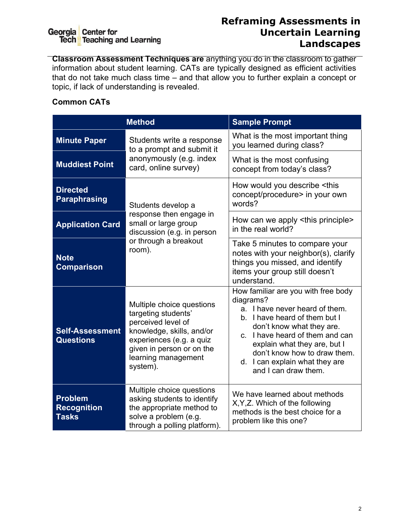# Georgia Center for<br>Tech Teaching and Learning

#### **Reframing Assessments in Uncertain Learning Landscapes**

**Classroom Assessment Techniques are** anything you do in the classroom to gather information about student learning. CATs are typically designed as efficient activities that do not take much class time – and that allow you to further explain a concept or topic, if lack of understanding is revealed.

#### **Common CATs**

|                                                      | <b>Method</b>                                                                                                                                                                                   | <b>Sample Prompt</b>                                                                                                                                                                                                                                                                                          |  |  |
|------------------------------------------------------|-------------------------------------------------------------------------------------------------------------------------------------------------------------------------------------------------|---------------------------------------------------------------------------------------------------------------------------------------------------------------------------------------------------------------------------------------------------------------------------------------------------------------|--|--|
| <b>Minute Paper</b>                                  | Students write a response<br>to a prompt and submit it                                                                                                                                          | What is the most important thing<br>you learned during class?                                                                                                                                                                                                                                                 |  |  |
| <b>Muddiest Point</b>                                | anonymously (e.g. index<br>card, online survey)                                                                                                                                                 | What is the most confusing<br>concept from today's class?                                                                                                                                                                                                                                                     |  |  |
| <b>Directed</b><br><b>Paraphrasing</b>               | Students develop a                                                                                                                                                                              | How would you describe <this<br>concept/procedure&gt; in your own<br/>words?</this<br>                                                                                                                                                                                                                        |  |  |
| <b>Application Card</b>                              | response then engage in<br>small or large group<br>discussion (e.g. in person                                                                                                                   | How can we apply <this principle=""><br/>in the real world?</this>                                                                                                                                                                                                                                            |  |  |
| <b>Note</b><br><b>Comparison</b>                     | or through a breakout<br>room).                                                                                                                                                                 | Take 5 minutes to compare your<br>notes with your neighbor(s), clarify<br>things you missed, and identify<br>items your group still doesn't<br>understand.                                                                                                                                                    |  |  |
| <b>Self-Assessment</b><br><b>Questions</b>           | Multiple choice questions<br>targeting students'<br>perceived level of<br>knowledge, skills, and/or<br>experiences (e.g. a quiz<br>given in person or on the<br>learning management<br>system). | How familiar are you with free body<br>diagrams?<br>a. I have never heard of them.<br>b. I have heard of them but I<br>don't know what they are.<br>c. I have heard of them and can<br>explain what they are, but I<br>don't know how to draw them.<br>d. I can explain what they are<br>and I can draw them. |  |  |
| <b>Problem</b><br><b>Recognition</b><br><b>Tasks</b> | Multiple choice questions<br>asking students to identify<br>the appropriate method to<br>solve a problem (e.g.<br>through a polling platform).                                                  | We have learned about methods<br>X, Y, Z. Which of the following<br>methods is the best choice for a<br>problem like this one?                                                                                                                                                                                |  |  |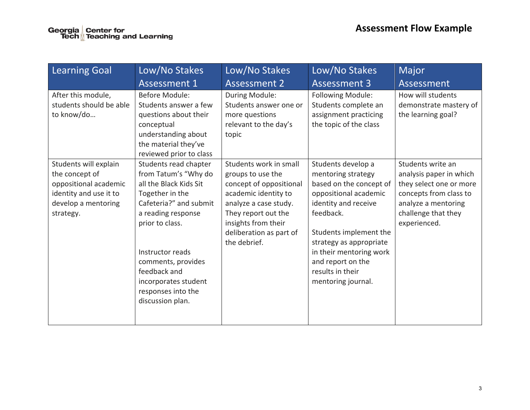| <b>Learning Goal</b>                                                                                                           | Low/No Stakes                                                                                                                                                                                                                                                                             | Low/No Stakes                                                                                                                                                                                                    | Low/No Stakes                                                                                                                                                                                                                                                                    | Major                                                                                                                                                           |
|--------------------------------------------------------------------------------------------------------------------------------|-------------------------------------------------------------------------------------------------------------------------------------------------------------------------------------------------------------------------------------------------------------------------------------------|------------------------------------------------------------------------------------------------------------------------------------------------------------------------------------------------------------------|----------------------------------------------------------------------------------------------------------------------------------------------------------------------------------------------------------------------------------------------------------------------------------|-----------------------------------------------------------------------------------------------------------------------------------------------------------------|
|                                                                                                                                | <b>Assessment 1</b>                                                                                                                                                                                                                                                                       | <b>Assessment 2</b>                                                                                                                                                                                              | <b>Assessment 3</b>                                                                                                                                                                                                                                                              | Assessment                                                                                                                                                      |
| After this module,<br>students should be able<br>to know/do                                                                    | <b>Before Module:</b><br>Students answer a few<br>questions about their<br>conceptual<br>understanding about<br>the material they've<br>reviewed prior to class                                                                                                                           | During Module:<br>Students answer one or<br>more questions<br>relevant to the day's<br>topic                                                                                                                     | Following Module:<br>Students complete an<br>assignment practicing<br>the topic of the class                                                                                                                                                                                     | How will students<br>demonstrate mastery of<br>the learning goal?                                                                                               |
| Students will explain<br>the concept of<br>oppositional academic<br>identity and use it to<br>develop a mentoring<br>strategy. | Students read chapter<br>from Tatum's "Why do<br>all the Black Kids Sit<br>Together in the<br>Cafeteria?" and submit<br>a reading response<br>prior to class.<br>Instructor reads<br>comments, provides<br>feedback and<br>incorporates student<br>responses into the<br>discussion plan. | Students work in small<br>groups to use the<br>concept of oppositional<br>academic identity to<br>analyze a case study.<br>They report out the<br>insights from their<br>deliberation as part of<br>the debrief. | Students develop a<br>mentoring strategy<br>based on the concept of<br>oppositional academic<br>identity and receive<br>feedback.<br>Students implement the<br>strategy as appropriate<br>in their mentoring work<br>and report on the<br>results in their<br>mentoring journal. | Students write an<br>analysis paper in which<br>they select one or more<br>concepts from class to<br>analyze a mentoring<br>challenge that they<br>experienced. |